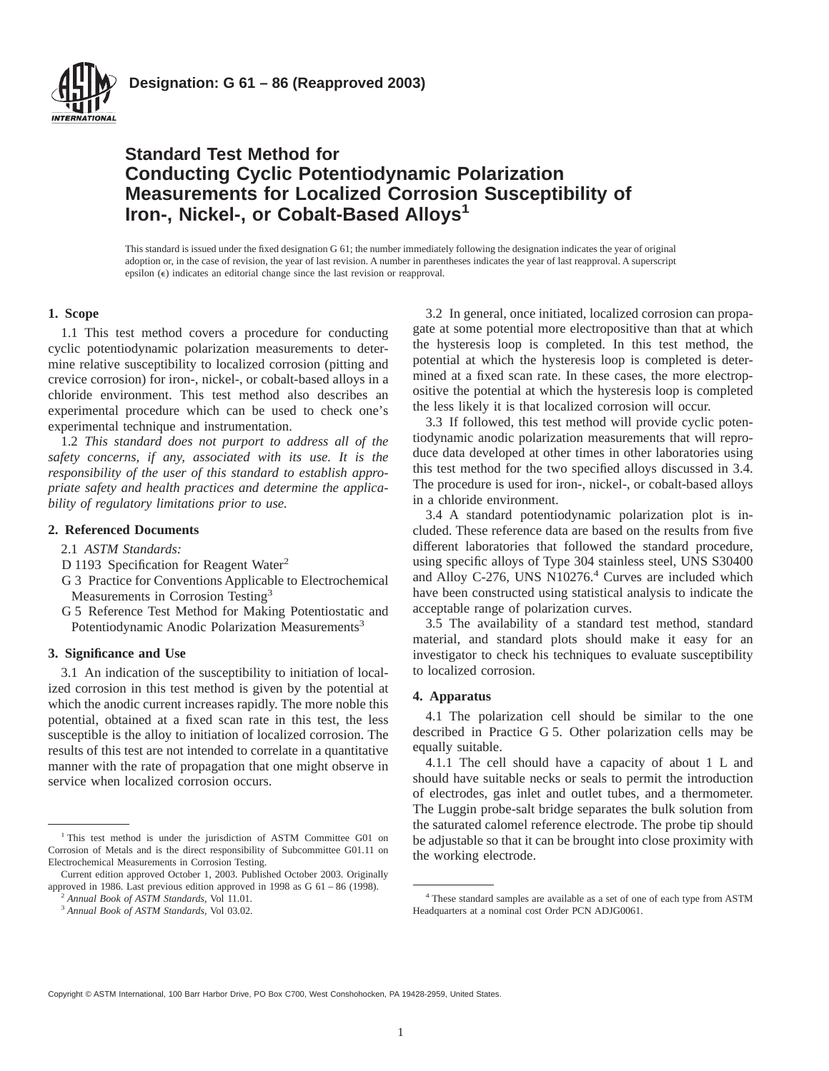

# **Standard Test Method for Conducting Cyclic Potentiodynamic Polarization Measurements for Localized Corrosion Susceptibility of Iron-, Nickel-, or Cobalt-Based Alloys<sup>1</sup>**

This standard is issued under the fixed designation G 61; the number immediately following the designation indicates the year of original adoption or, in the case of revision, the year of last revision. A number in parentheses indicates the year of last reapproval. A superscript epsilon (e) indicates an editorial change since the last revision or reapproval.

# **1. Scope**

1.1 This test method covers a procedure for conducting cyclic potentiodynamic polarization measurements to determine relative susceptibility to localized corrosion (pitting and crevice corrosion) for iron-, nickel-, or cobalt-based alloys in a chloride environment. This test method also describes an experimental procedure which can be used to check one's experimental technique and instrumentation.

1.2 *This standard does not purport to address all of the safety concerns, if any, associated with its use. It is the responsibility of the user of this standard to establish appropriate safety and health practices and determine the applicability of regulatory limitations prior to use.*

### **2. Referenced Documents**

- 2.1 *ASTM Standards:*
- D 1193 Specification for Reagent Water<sup>2</sup>
- G 3 Practice for Conventions Applicable to Electrochemical Measurements in Corrosion Testing<sup>3</sup>
- G 5 Reference Test Method for Making Potentiostatic and Potentiodynamic Anodic Polarization Measurements<sup>3</sup>

## **3. Significance and Use**

3.1 An indication of the susceptibility to initiation of localized corrosion in this test method is given by the potential at which the anodic current increases rapidly. The more noble this potential, obtained at a fixed scan rate in this test, the less susceptible is the alloy to initiation of localized corrosion. The results of this test are not intended to correlate in a quantitative manner with the rate of propagation that one might observe in service when localized corrosion occurs.

3.2 In general, once initiated, localized corrosion can propagate at some potential more electropositive than that at which the hysteresis loop is completed. In this test method, the potential at which the hysteresis loop is completed is determined at a fixed scan rate. In these cases, the more electropositive the potential at which the hysteresis loop is completed the less likely it is that localized corrosion will occur.

3.3 If followed, this test method will provide cyclic potentiodynamic anodic polarization measurements that will reproduce data developed at other times in other laboratories using this test method for the two specified alloys discussed in 3.4. The procedure is used for iron-, nickel-, or cobalt-based alloys in a chloride environment.

3.4 A standard potentiodynamic polarization plot is included. These reference data are based on the results from five different laboratories that followed the standard procedure, using specific alloys of Type 304 stainless steel, UNS S30400 and Alloy C-276, UNS N10276.<sup>4</sup> Curves are included which have been constructed using statistical analysis to indicate the acceptable range of polarization curves.

3.5 The availability of a standard test method, standard material, and standard plots should make it easy for an investigator to check his techniques to evaluate susceptibility to localized corrosion.

#### **4. Apparatus**

4.1 The polarization cell should be similar to the one described in Practice G 5. Other polarization cells may be equally suitable.

4.1.1 The cell should have a capacity of about 1 L and should have suitable necks or seals to permit the introduction of electrodes, gas inlet and outlet tubes, and a thermometer. The Luggin probe-salt bridge separates the bulk solution from the saturated calomel reference electrode. The probe tip should be adjustable so that it can be brought into close proximity with the working electrode.

Copyright © ASTM International, 100 Barr Harbor Drive, PO Box C700, West Conshohocken, PA 19428-2959, United States.

<sup>&</sup>lt;sup>1</sup> This test method is under the jurisdiction of ASTM Committee G01 on Corrosion of Metals and is the direct responsibility of Subcommittee G01.11 on Electrochemical Measurements in Corrosion Testing.

Current edition approved October 1, 2003. Published October 2003. Originally approved in 1986. Last previous edition approved in 1998 as G 61 – 86 (1998).

<sup>2</sup> *Annual Book of ASTM Standards,* Vol 11.01.

<sup>3</sup> *Annual Book of ASTM Standards,* Vol 03.02.

<sup>4</sup> These standard samples are available as a set of one of each type from ASTM Headquarters at a nominal cost Order PCN ADJG0061.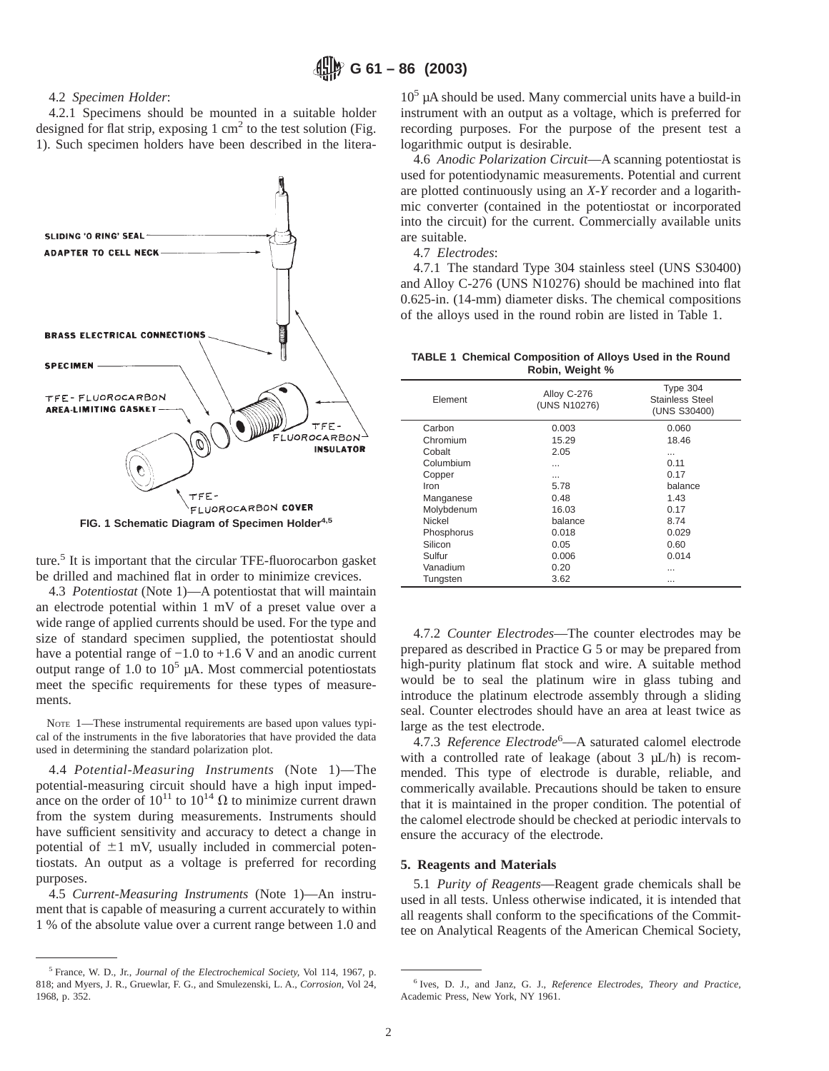# 4.2 *Specimen Holder*:

4.2.1 Specimens should be mounted in a suitable holder designed for flat strip, exposing  $1 \text{ cm}^2$  to the test solution (Fig. 1). Such specimen holders have been described in the litera-



ture.<sup>5</sup> It is important that the circular TFE-fluorocarbon gasket be drilled and machined flat in order to minimize crevices.

4.3 *Potentiostat* (Note 1)—A potentiostat that will maintain an electrode potential within 1 mV of a preset value over a wide range of applied currents should be used. For the type and size of standard specimen supplied, the potentiostat should have a potential range of −1.0 to +1.6 V and an anodic current output range of  $1.0$  to  $10<sup>5</sup>$  µA. Most commercial potentiostats meet the specific requirements for these types of measurements.

NOTE 1—These instrumental requirements are based upon values typical of the instruments in the five laboratories that have provided the data used in determining the standard polarization plot.

4.4 *Potential-Measuring Instruments* (Note 1)—The potential-measuring circuit should have a high input impedance on the order of  $10^{11}$  to  $10^{14}$   $\Omega$  to minimize current drawn from the system during measurements. Instruments should have sufficient sensitivity and accuracy to detect a change in potential of  $\pm 1$  mV, usually included in commercial potentiostats. An output as a voltage is preferred for recording purposes.

4.5 *Current-Measuring Instruments* (Note 1)—An instrument that is capable of measuring a current accurately to within 1 % of the absolute value over a current range between 1.0 and

<sup>5</sup> France, W. D., Jr., *Journal of the Electrochemical Society,* Vol 114, 1967, p. 818; and Myers, J. R., Gruewlar, F. G., and Smulezenski, L. A., *Corrosion,* Vol 24, 1968, p. 352.

 $10<sup>5</sup>$  µA should be used. Many commercial units have a build-in instrument with an output as a voltage, which is preferred for recording purposes. For the purpose of the present test a logarithmic output is desirable.

4.6 *Anodic Polarization Circuit*—A scanning potentiostat is used for potentiodynamic measurements. Potential and current are plotted continuously using an *X-Y* recorder and a logarithmic converter (contained in the potentiostat or incorporated into the circuit) for the current. Commercially available units are suitable.

4.7 *Electrodes*:

4.7.1 The standard Type 304 stainless steel (UNS S30400) and Alloy C-276 (UNS N10276) should be machined into flat 0.625-in. (14-mm) diameter disks. The chemical compositions of the alloys used in the round robin are listed in Table 1.

**TABLE 1 Chemical Composition of Alloys Used in the Round Robin, Weight %**

| Flement    | Alloy C-276<br>(UNS N10276) | Type 304<br><b>Stainless Steel</b><br>(UNS S30400) |
|------------|-----------------------------|----------------------------------------------------|
| Carbon     | 0.003                       | 0.060                                              |
| Chromium   | 15.29                       | 18.46                                              |
| Cobalt     | 2.05                        | $\cdots$                                           |
| Columbium  |                             | 0.11                                               |
| Copper     |                             | 0.17                                               |
| Iron       | 5.78                        | balance                                            |
| Manganese  | 0.48                        | 1.43                                               |
| Molybdenum | 16.03                       | 0.17                                               |
| Nickel     | balance                     | 8.74                                               |
| Phosphorus | 0.018                       | 0.029                                              |
| Silicon    | 0.05                        | 0.60                                               |
| Sulfur     | 0.006                       | 0.014                                              |
| Vanadium   | 0.20                        |                                                    |
| Tungsten   | 3.62                        |                                                    |

4.7.2 *Counter Electrodes*—The counter electrodes may be prepared as described in Practice G 5 or may be prepared from high-purity platinum flat stock and wire. A suitable method would be to seal the platinum wire in glass tubing and introduce the platinum electrode assembly through a sliding seal. Counter electrodes should have an area at least twice as large as the test electrode.

4.7.3 *Reference Electrode*<sup>6</sup> —A saturated calomel electrode with a controlled rate of leakage (about  $3 \mu L/h$ ) is recommended. This type of electrode is durable, reliable, and commerically available. Precautions should be taken to ensure that it is maintained in the proper condition. The potential of the calomel electrode should be checked at periodic intervals to ensure the accuracy of the electrode.

#### **5. Reagents and Materials**

5.1 *Purity of Reagents*—Reagent grade chemicals shall be used in all tests. Unless otherwise indicated, it is intended that all reagents shall conform to the specifications of the Committee on Analytical Reagents of the American Chemical Society,

<sup>6</sup> Ives, D. J., and Janz, G. J., *Reference Electrodes, Theory and Practice,* Academic Press, New York, NY 1961.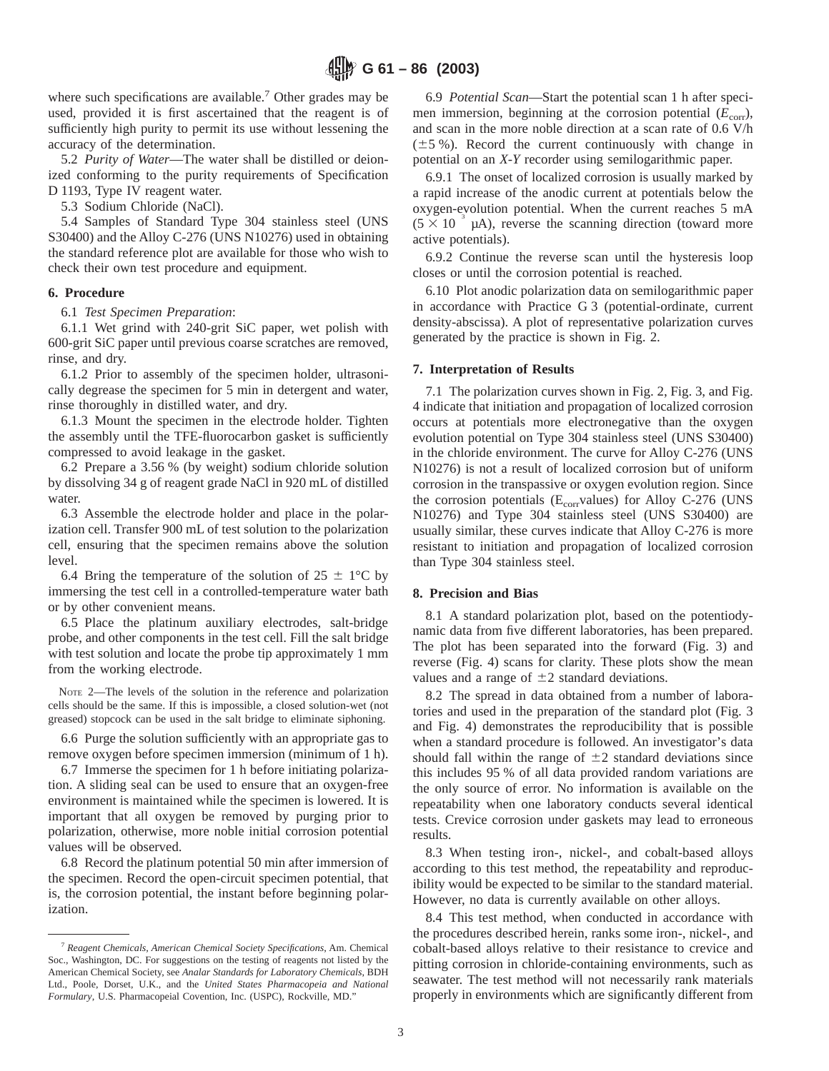where such specifications are available.<sup>7</sup> Other grades may be used, provided it is first ascertained that the reagent is of sufficiently high purity to permit its use without lessening the accuracy of the determination.

5.2 *Purity of Water*—The water shall be distilled or deionized conforming to the purity requirements of Specification D 1193, Type IV reagent water.

5.3 Sodium Chloride (NaCl).

5.4 Samples of Standard Type 304 stainless steel (UNS S30400) and the Alloy C-276 (UNS N10276) used in obtaining the standard reference plot are available for those who wish to check their own test procedure and equipment.

# **6. Procedure**

6.1 *Test Specimen Preparation*:

6.1.1 Wet grind with 240-grit SiC paper, wet polish with 600-grit SiC paper until previous coarse scratches are removed, rinse, and dry.

6.1.2 Prior to assembly of the specimen holder, ultrasonically degrease the specimen for 5 min in detergent and water, rinse thoroughly in distilled water, and dry.

6.1.3 Mount the specimen in the electrode holder. Tighten the assembly until the TFE-fluorocarbon gasket is sufficiently compressed to avoid leakage in the gasket.

6.2 Prepare a 3.56 % (by weight) sodium chloride solution by dissolving 34 g of reagent grade NaCl in 920 mL of distilled water.

6.3 Assemble the electrode holder and place in the polarization cell. Transfer 900 mL of test solution to the polarization cell, ensuring that the specimen remains above the solution level.

6.4 Bring the temperature of the solution of  $25 \pm 1$ °C by immersing the test cell in a controlled-temperature water bath or by other convenient means.

6.5 Place the platinum auxiliary electrodes, salt-bridge probe, and other components in the test cell. Fill the salt bridge with test solution and locate the probe tip approximately 1 mm from the working electrode.

NOTE 2—The levels of the solution in the reference and polarization cells should be the same. If this is impossible, a closed solution-wet (not greased) stopcock can be used in the salt bridge to eliminate siphoning.

6.6 Purge the solution sufficiently with an appropriate gas to remove oxygen before specimen immersion (minimum of 1 h).

6.7 Immerse the specimen for 1 h before initiating polarization. A sliding seal can be used to ensure that an oxygen-free environment is maintained while the specimen is lowered. It is important that all oxygen be removed by purging prior to polarization, otherwise, more noble initial corrosion potential values will be observed.

6.8 Record the platinum potential 50 min after immersion of the specimen. Record the open-circuit specimen potential, that is, the corrosion potential, the instant before beginning polarization.

6.9 *Potential Scan*—Start the potential scan 1 h after specimen immersion, beginning at the corrosion potential  $(E_{corr})$ , and scan in the more noble direction at a scan rate of 0.6 V/h  $(\pm 5 \%)$ . Record the current continuously with change in potential on an *X-Y* recorder using semilogarithmic paper.

6.9.1 The onset of localized corrosion is usually marked by a rapid increase of the anodic current at potentials below the oxygen-evolution potential. When the current reaches 5 mA  $(5 \times 10^{-3} \mu A)$ , reverse the scanning direction (toward more active potentials).

6.9.2 Continue the reverse scan until the hysteresis loop closes or until the corrosion potential is reached.

6.10 Plot anodic polarization data on semilogarithmic paper in accordance with Practice G 3 (potential-ordinate, current density-abscissa). A plot of representative polarization curves generated by the practice is shown in Fig. 2.

#### **7. Interpretation of Results**

7.1 The polarization curves shown in Fig. 2, Fig. 3, and Fig. 4 indicate that initiation and propagation of localized corrosion occurs at potentials more electronegative than the oxygen evolution potential on Type 304 stainless steel (UNS S30400) in the chloride environment. The curve for Alloy C-276 (UNS N10276) is not a result of localized corrosion but of uniform corrosion in the transpassive or oxygen evolution region. Since the corrosion potentials ( $E_{corr}$ values) for Alloy C-276 (UNS N10276) and Type 304 stainless steel (UNS S30400) are usually similar, these curves indicate that Alloy C-276 is more resistant to initiation and propagation of localized corrosion than Type 304 stainless steel.

### **8. Precision and Bias**

8.1 A standard polarization plot, based on the potentiodynamic data from five different laboratories, has been prepared. The plot has been separated into the forward (Fig. 3) and reverse (Fig. 4) scans for clarity. These plots show the mean values and a range of  $\pm 2$  standard deviations.

8.2 The spread in data obtained from a number of laboratories and used in the preparation of the standard plot (Fig. 3 and Fig. 4) demonstrates the reproducibility that is possible when a standard procedure is followed. An investigator's data should fall within the range of  $\pm 2$  standard deviations since this includes 95 % of all data provided random variations are the only source of error. No information is available on the repeatability when one laboratory conducts several identical tests. Crevice corrosion under gaskets may lead to erroneous results.

8.3 When testing iron-, nickel-, and cobalt-based alloys according to this test method, the repeatability and reproducibility would be expected to be similar to the standard material. However, no data is currently available on other alloys.

8.4 This test method, when conducted in accordance with the procedures described herein, ranks some iron-, nickel-, and cobalt-based alloys relative to their resistance to crevice and pitting corrosion in chloride-containing environments, such as seawater. The test method will not necessarily rank materials properly in environments which are significantly different from

<sup>7</sup> *Reagent Chemicals, American Chemical Society Specifications*, Am. Chemical Soc., Washington, DC. For suggestions on the testing of reagents not listed by the American Chemical Society, see *Analar Standards for Laboratory Chemicals*, BDH Ltd., Poole, Dorset, U.K., and the *United States Pharmacopeia and National Formulary*, U.S. Pharmacopeial Covention, Inc. (USPC), Rockville, MD."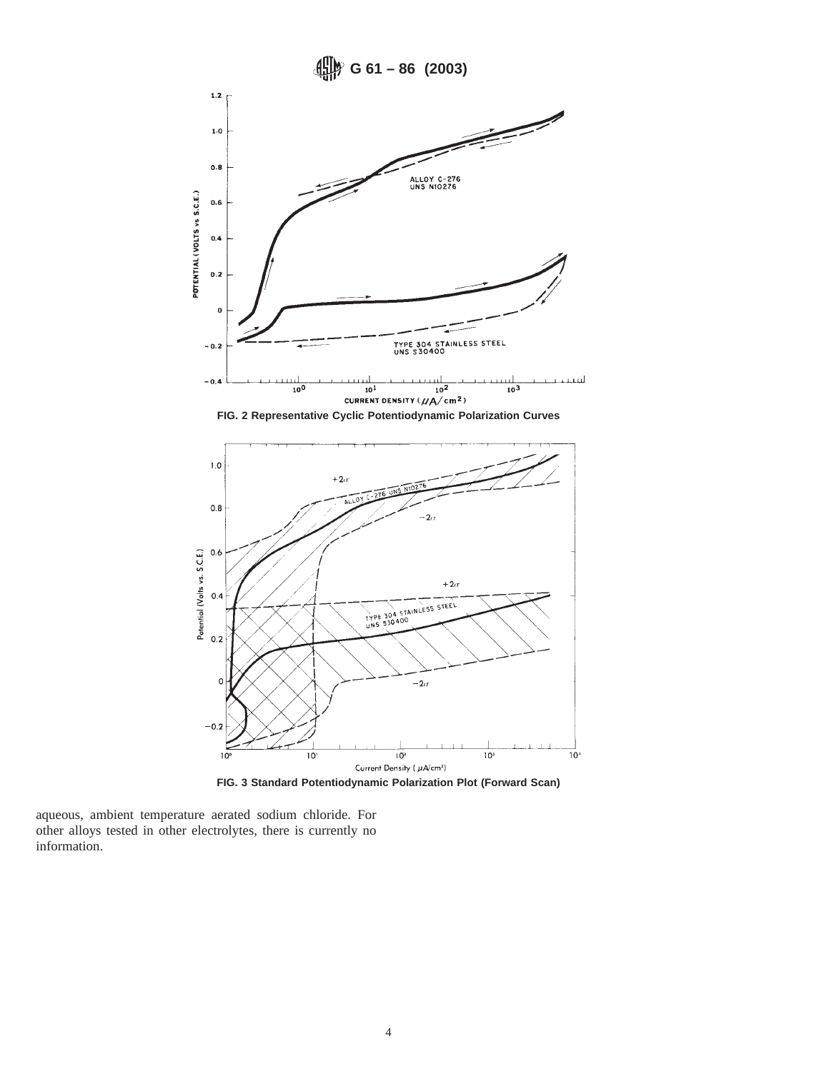

aqueous, ambient temperature aerated sodium chloride. For other alloys tested in other electrolytes, there is currently no information.